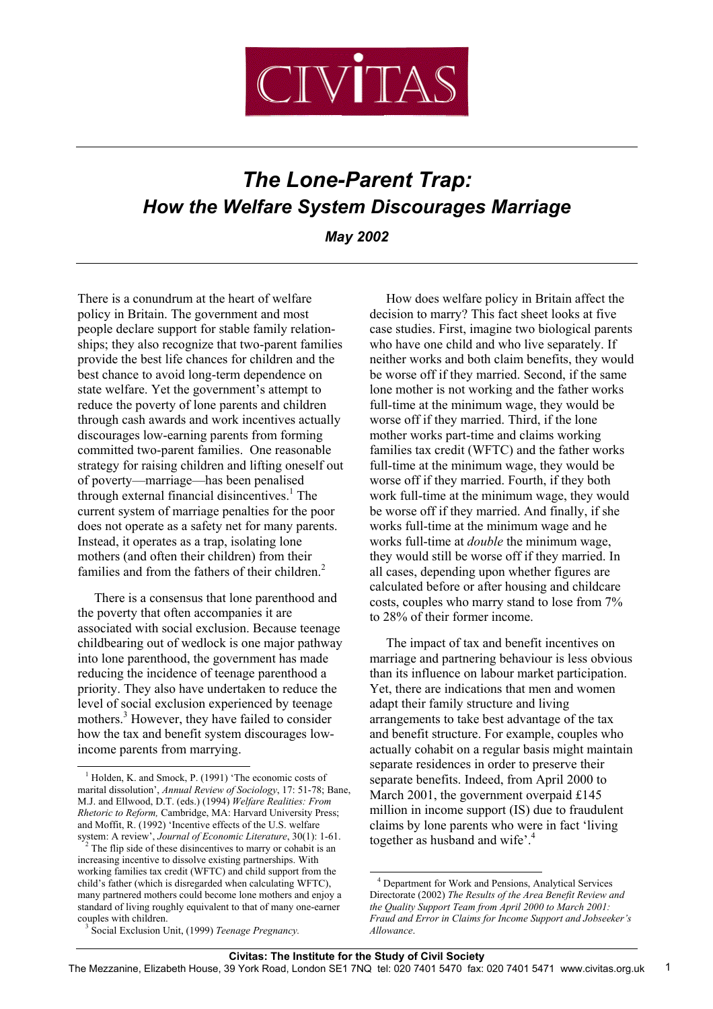

# *The Lone-Parent Trap: How the Welfare System Discourages Marriage*

*May 2002*

There is a conundrum at the heart of welfare policy in Britain. The government and most people declare support for stable family relationships; they also recognize that two-parent families provide the best life chances for children and the best chance to avoid long-term dependence on state welfare. Yet the government's attempt to reduce the poverty of lone parents and children through cash awards and work incentives actually discourages low-earning parents from forming committed two-parent families. One reasonable strategy for raising children and lifting oneself out of poverty—marriage—has been penalised through external financial disincentives.<sup>1</sup> The current system of marriage penalties for the poor does not operate as a safety net for many parents. Instead, it operates as a trap, isolating lone mothers (and often their children) from their families and from the fathers of their children.<sup>2</sup>

 There is a consensus that lone parenthood and the poverty that often accompanies it are associated with social exclusion. Because teenage childbearing out of wedlock is one major pathway into lone parenthood, the government has made reducing the incidence of teenage parenthood a priority. They also have undertaken to reduce the level of social exclusion experienced by teenage mothers.<sup>3</sup> However, they have failed to consider how the tax and benefit system discourages lowincome parents from marrying.

l

 How does welfare policy in Britain affect the decision to marry? This fact sheet looks at five case studies. First, imagine two biological parents who have one child and who live separately. If neither works and both claim benefits, they would be worse off if they married. Second, if the same lone mother is not working and the father works full-time at the minimum wage, they would be worse off if they married. Third, if the lone mother works part-time and claims working families tax credit (WFTC) and the father works full-time at the minimum wage, they would be worse off if they married. Fourth, if they both work full-time at the minimum wage, they would be worse off if they married. And finally, if she works full-time at the minimum wage and he works full-time at *double* the minimum wage, they would still be worse off if they married. In all cases, depending upon whether figures are calculated before or after housing and childcare costs, couples who marry stand to lose from 7% to 28% of their former income.

 The impact of tax and benefit incentives on marriage and partnering behaviour is less obvious than its influence on labour market participation. Yet, there are indications that men and women adapt their family structure and living arrangements to take best advantage of the tax and benefit structure. For example, couples who actually cohabit on a regular basis might maintain separate residences in order to preserve their separate benefits. Indeed, from April 2000 to March 2001, the government overpaid £145 million in income support (IS) due to fraudulent claims by lone parents who were in fact 'living together as husband and wife'.<sup>4</sup>

l

<sup>&</sup>lt;sup>1</sup> Holden, K. and Smock, P. (1991) 'The economic costs of marital dissolution', *Annual Review of Sociology*, 17: 51-78; Bane, M.J. and Ellwood, D.T. (eds.) (1994) *Welfare Realities: From Rhetoric to Reform,* Cambridge, MA: Harvard University Press; and Moffit, R. (1992) 'Incentive effects of the U.S. welfare system: A review', *Journal of Economic Literature*, 30(1): 1-61.

<sup>&</sup>lt;sup>2</sup> The flip side of these disincentives to marry or cohabit is an increasing incentive to dissolve existing partnerships. With working families tax credit (WFTC) and child support from the child's father (which is disregarded when calculating WFTC), many partnered mothers could become lone mothers and enjoy a standard of living roughly equivalent to that of many one-earner couples with children.

4 Department for Work and Pensions, Analytical Services Directorate (2002) *The Results of the Area Benefit Review and the Quality Support Team from April 2000 to March 2001: Fraud and Error in Claims for Income Support and Jobseeker's Allowance*.

3 Social Exclusion Unit, (1999) *Teenage Pregnancy.*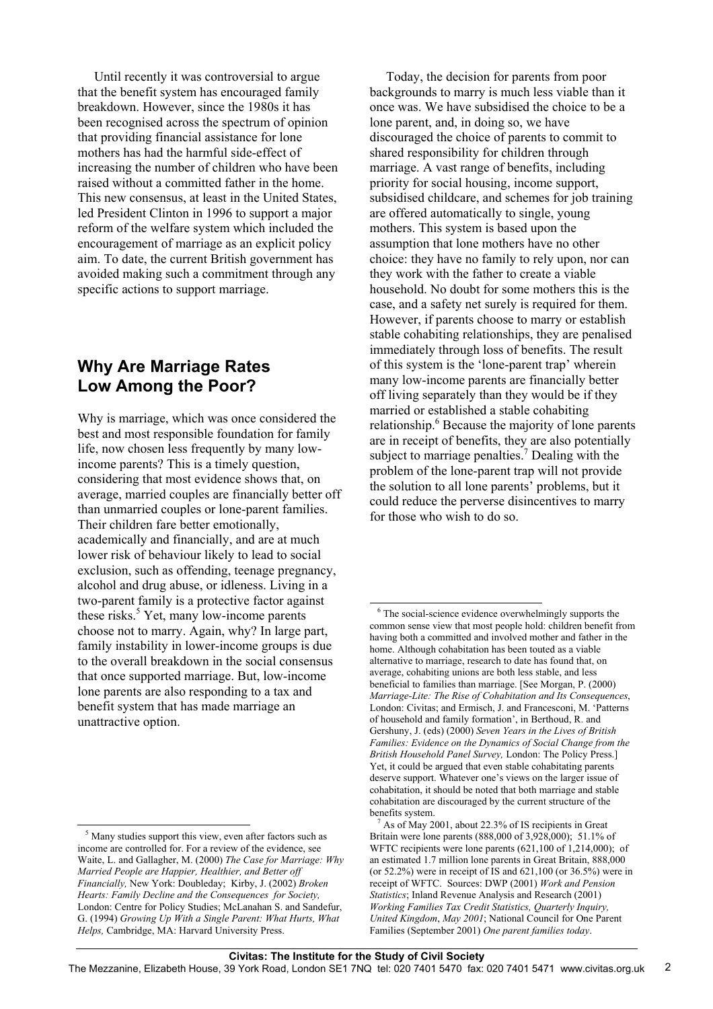Until recently it was controversial to argue that the benefit system has encouraged family breakdown. However, since the 1980s it has been recognised across the spectrum of opinion that providing financial assistance for lone mothers has had the harmful side-effect of increasing the number of children who have been raised without a committed father in the home. This new consensus, at least in the United States, led President Clinton in 1996 to support a major reform of the welfare system which included the encouragement of marriage as an explicit policy aim. To date, the current British government has avoided making such a commitment through any specific actions to support marriage.

### **Why Are Marriage Rates Low Among the Poor?**

Why is marriage, which was once considered the best and most responsible foundation for family life, now chosen less frequently by many lowincome parents? This is a timely question, considering that most evidence shows that, on average, married couples are financially better off than unmarried couples or lone-parent families. Their children fare better emotionally, academically and financially, and are at much lower risk of behaviour likely to lead to social exclusion, such as offending, teenage pregnancy, alcohol and drug abuse, or idleness. Living in a two-parent family is a protective factor against these risks.<sup>5</sup> Yet, many low-income parents choose not to marry. Again, why? In large part, family instability in lower-income groups is due to the overall breakdown in the social consensus that once supported marriage. But, low-income lone parents are also responding to a tax and benefit system that has made marriage an unattractive option.

l

 Today, the decision for parents from poor backgrounds to marry is much less viable than it once was. We have subsidised the choice to be a lone parent, and, in doing so, we have discouraged the choice of parents to commit to shared responsibility for children through marriage. A vast range of benefits, including priority for social housing, income support, subsidised childcare, and schemes for job training are offered automatically to single, young mothers. This system is based upon the assumption that lone mothers have no other choice: they have no family to rely upon, nor can they work with the father to create a viable household. No doubt for some mothers this is the case, and a safety net surely is required for them. However, if parents choose to marry or establish stable cohabiting relationships, they are penalised immediately through loss of benefits. The result of this system is the 'lone-parent trap' wherein many low-income parents are financially better off living separately than they would be if they married or established a stable cohabiting relationship.<sup>6</sup> Because the majority of lone parents are in receipt of benefits, they are also potentially subject to marriage penalties.<sup>7</sup> Dealing with the problem of the lone-parent trap will not provide the solution to all lone parents' problems, but it could reduce the perverse disincentives to marry for those who wish to do so.

<sup>&</sup>lt;sup>5</sup> Many studies support this view, even after factors such as income are controlled for. For a review of the evidence, see Waite, L. and Gallagher, M. (2000) *The Case for Marriage: Why Married People are Happier, Healthier, and Better off Financially,* New York: Doubleday; Kirby, J. (2002) *Broken Hearts: Family Decline and the Consequences for Society,* London: Centre for Policy Studies; McLanahan S. and Sandefur, G. (1994) *Growing Up With a Single Parent: What Hurts, What Helps,* Cambridge, MA: Harvard University Press.

l <sup>6</sup> The social-science evidence overwhelmingly supports the common sense view that most people hold: children benefit from having both a committed and involved mother and father in the home. Although cohabitation has been touted as a viable alternative to marriage, research to date has found that, on average, cohabiting unions are both less stable, and less beneficial to families than marriage. [See Morgan, P. (2000) *Marriage-Lite: The Rise of Cohabitation and Its Consequences*, London: Civitas; and Ermisch, J. and Francesconi, M. 'Patterns of household and family formation', in Berthoud, R. and Gershuny, J. (eds) (2000) *Seven Years in the Lives of British Families: Evidence on the Dynamics of Social Change from the British Household Panel Survey,* London: The Policy Press.] Yet, it could be argued that even stable cohabitating parents deserve support. Whatever one's views on the larger issue of cohabitation, it should be noted that both marriage and stable cohabitation are discouraged by the current structure of the benefits system.

7 As of May 2001, about 22.3% of IS recipients in Great Britain were lone parents (888,000 of 3,928,000); 51.1% of WFTC recipients were lone parents (621,100 of 1,214,000); of an estimated 1.7 million lone parents in Great Britain, 888,000 (or 52.2%) were in receipt of IS and 621,100 (or 36.5%) were in receipt of WFTC. Sources: DWP (2001) *Work and Pension Statistics*; Inland Revenue Analysis and Research (2001) *Working Families Tax Credit Statistics, Quarterly Inquiry, United Kingdom*, *May 2001*; National Council for One Parent Families (September 2001) *One parent families today*.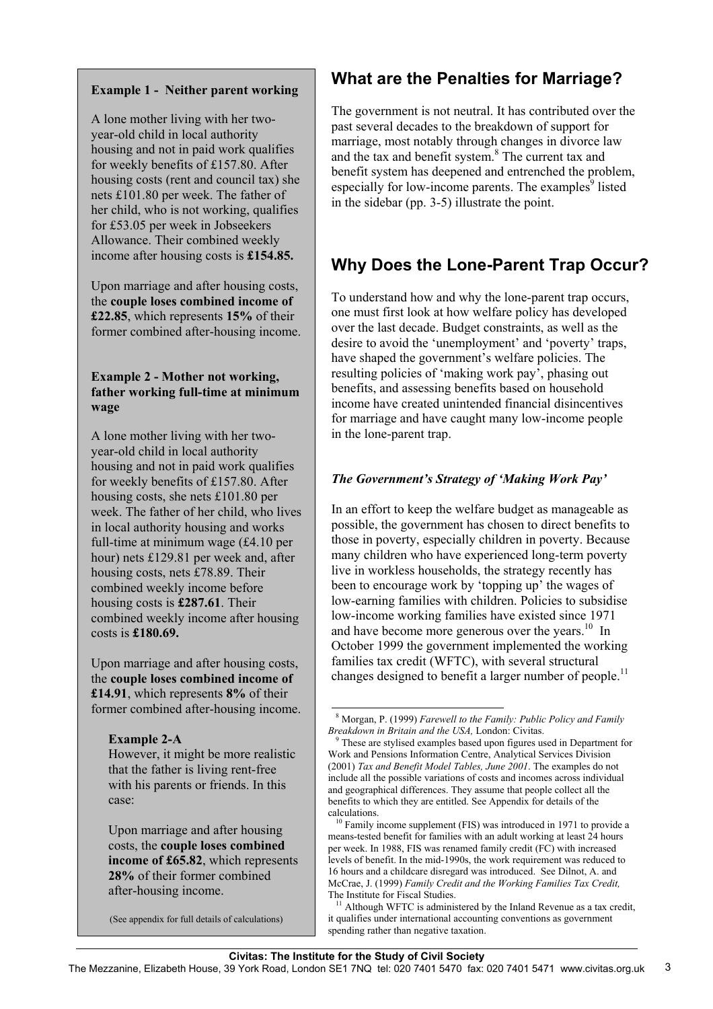### **Example 1 - Neither parent working**

A lone mother living with her twoyear-old child in local authority housing and not in paid work qualifies for weekly benefits of £157.80. After housing costs (rent and council tax) she nets £101.80 per week. The father of her child, who is not working, qualifies for £53.05 per week in Jobseekers Allowance. Their combined weekly income after housing costs is **£154.85.**

Upon marriage and after housing costs, the **couple loses combined income of £22.85**, which represents **15%** of their former combined after-housing income.

#### **Example 2 - Mother not working, father working full-time at minimum wage**

A lone mother living with her twoyear-old child in local authority housing and not in paid work qualifies for weekly benefits of £157.80. After housing costs, she nets £101.80 per week. The father of her child, who lives in local authority housing and works full-time at minimum wage (£4.10 per hour) nets £129.81 per week and, after housing costs, nets £78.89. Their combined weekly income before housing costs is **£287.61**. Their combined weekly income after housing costs is **£180.69.**

Upon marriage and after housing costs, the **couple loses combined income of £14.91**, which represents **8%** of their former combined after-housing income.

#### **Example 2-A**

However, it might be more realistic that the father is living rent-free with his parents or friends. In this case:

Upon marriage and after housing costs, the **couple loses combined income of £65.82**, which represents **28%** of their former combined after-housing income.

(See appendix for full details of calculations)

### **What are the Penalties for Marriage?**

The government is not neutral. It has contributed over the past several decades to the breakdown of support for marriage, most notably through changes in divorce law and the tax and benefit system.8 The current tax and benefit system has deepened and entrenched the problem, especially for low-income parents. The examples $9$  listed in the sidebar (pp. 3-5) illustrate the point.

## **Why Does the Lone-Parent Trap Occur?**

To understand how and why the lone-parent trap occurs, one must first look at how welfare policy has developed over the last decade. Budget constraints, as well as the desire to avoid the 'unemployment' and 'poverty' traps, have shaped the government's welfare policies. The resulting policies of 'making work pay', phasing out benefits, and assessing benefits based on household income have created unintended financial disincentives for marriage and have caught many low-income people in the lone-parent trap.

### *The Government's Strategy of 'Making Work Pay'*

In an effort to keep the welfare budget as manageable as possible, the government has chosen to direct benefits to those in poverty, especially children in poverty. Because many children who have experienced long-term poverty live in workless households, the strategy recently has been to encourage work by 'topping up' the wages of low-earning families with children. Policies to subsidise low-income working families have existed since 1971 and have become more generous over the years.<sup>10</sup> In October 1999 the government implemented the working families tax credit (WFTC), with several structural changes designed to benefit a larger number of people.<sup>11</sup>

l 8 Morgan, P. (1999) *Farewell to the Family: Public Policy and Family Breakdown in Britain and the USA,* London: Civitas.

9 These are stylised examples based upon figures used in Department for Work and Pensions Information Centre, Analytical Services Division (2001) *Tax and Benefit Model Tables, June 2001*. The examples do not include all the possible variations of costs and incomes across individual and geographical differences. They assume that people collect all the benefits to which they are entitled. See Appendix for details of the calculations.

 $10<sup>10</sup>$  Family income supplement (FIS) was introduced in 1971 to provide a means-tested benefit for families with an adult working at least 24 hours per week. In 1988, FIS was renamed family credit (FC) with increased levels of benefit. In the mid-1990s, the work requirement was reduced to 16 hours and a childcare disregard was introduced. See Dilnot, A. and McCrae, J. (1999) *Family Credit and the Working Families Tax Credit,* The Institute for Fiscal Studies.

 $11$  Although WFTC is administered by the Inland Revenue as a tax credit, it qualifies under international accounting conventions as government spending rather than negative taxation.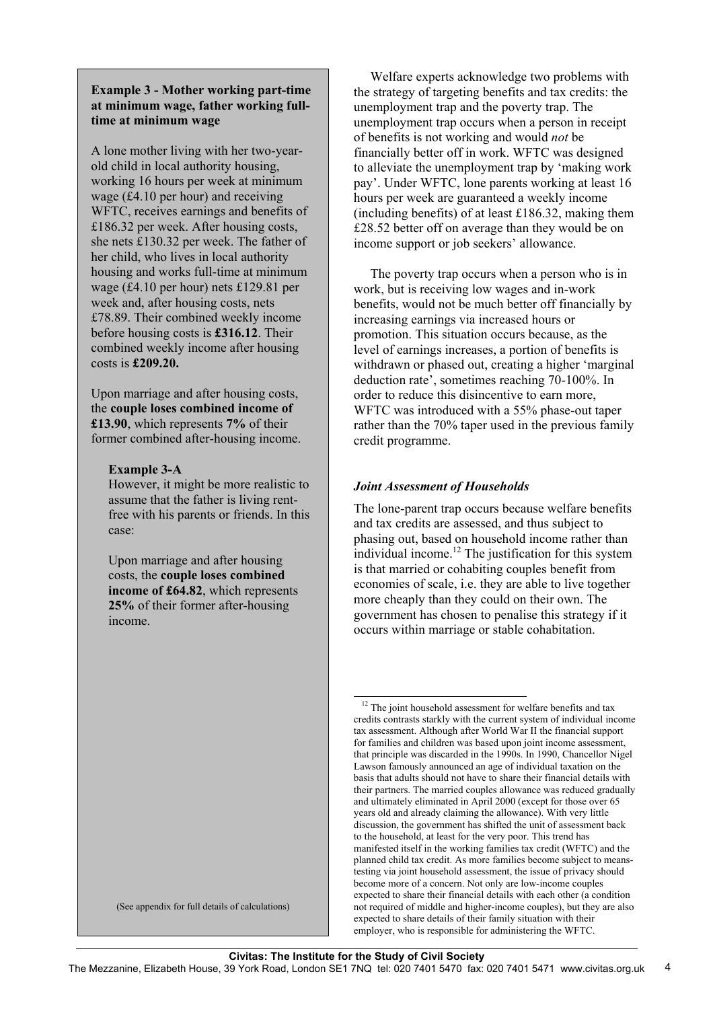#### **Example 3 - Mother working part-time at minimum wage, father working fulltime at minimum wage**

A lone mother living with her two-yearold child in local authority housing, working 16 hours per week at minimum wage (£4.10 per hour) and receiving WFTC, receives earnings and benefits of £186.32 per week. After housing costs, she nets £130.32 per week. The father of her child, who lives in local authority housing and works full-time at minimum wage (£4.10 per hour) nets £129.81 per week and, after housing costs, nets £78.89. Their combined weekly income before housing costs is **£316.12**. Their combined weekly income after housing costs is **£209.20.**

Upon marriage and after housing costs, the **couple loses combined income of £13.90**, which represents **7%** of their former combined after-housing income.

#### **Example 3-A**

However, it might be more realistic to assume that the father is living rentfree with his parents or friends. In this case:

Upon marriage and after housing costs, the **couple loses combined income of £64.82**, which represents **25%** of their former after-housing income.

(See appendix for full details of calculations)

 Welfare experts acknowledge two problems with the strategy of targeting benefits and tax credits: the unemployment trap and the poverty trap. The unemployment trap occurs when a person in receipt of benefits is not working and would *not* be financially better off in work. WFTC was designed to alleviate the unemployment trap by 'making work pay'. Under WFTC, lone parents working at least 16 hours per week are guaranteed a weekly income (including benefits) of at least £186.32, making them £28.52 better off on average than they would be on income support or job seekers' allowance.

 The poverty trap occurs when a person who is in work, but is receiving low wages and in-work benefits, would not be much better off financially by increasing earnings via increased hours or promotion. This situation occurs because, as the level of earnings increases, a portion of benefits is withdrawn or phased out, creating a higher 'marginal deduction rate', sometimes reaching 70-100%. In order to reduce this disincentive to earn more, WFTC was introduced with a 55% phase-out taper rather than the 70% taper used in the previous family credit programme.

#### *Joint Assessment of Households*

The lone-parent trap occurs because welfare benefits and tax credits are assessed, and thus subject to phasing out, based on household income rather than individual income.<sup>12</sup> The justification for this system is that married or cohabiting couples benefit from economies of scale, i.e. they are able to live together more cheaply than they could on their own. The government has chosen to penalise this strategy if it occurs within marriage or stable cohabitation.

l  $12$  The joint household assessment for welfare benefits and tax credits contrasts starkly with the current system of individual income tax assessment. Although after World War II the financial support for families and children was based upon joint income assessment, that principle was discarded in the 1990s. In 1990, Chancellor Nigel Lawson famously announced an age of individual taxation on the basis that adults should not have to share their financial details with their partners. The married couples allowance was reduced gradually and ultimately eliminated in April 2000 (except for those over 65 years old and already claiming the allowance). With very little discussion, the government has shifted the unit of assessment back to the household, at least for the very poor. This trend has manifested itself in the working families tax credit (WFTC) and the planned child tax credit. As more families become subject to meanstesting via joint household assessment, the issue of privacy should become more of a concern. Not only are low-income couples expected to share their financial details with each other (a condition not required of middle and higher-income couples), but they are also expected to share details of their family situation with their employer, who is responsible for administering the WFTC.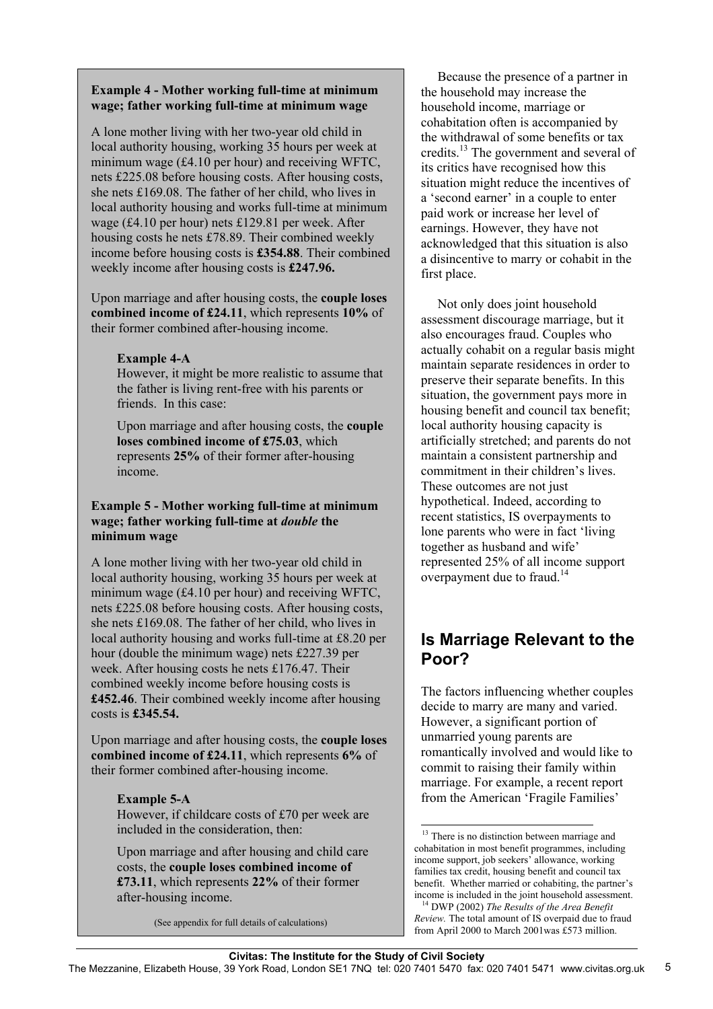#### **Example 4 - Mother working full-time at minimum wage; father working full-time at minimum wage**

A lone mother living with her two-year old child in local authority housing, working 35 hours per week at minimum wage (£4.10 per hour) and receiving WFTC, nets £225.08 before housing costs. After housing costs, she nets £169.08. The father of her child, who lives in local authority housing and works full-time at minimum wage (£4.10 per hour) nets £129.81 per week. After housing costs he nets £78.89. Their combined weekly income before housing costs is **£354.88**. Their combined weekly income after housing costs is **£247.96.**

Upon marriage and after housing costs, the **couple loses combined income of £24.11**, which represents **10%** of their former combined after-housing income.

#### **Example 4-A**

However, it might be more realistic to assume that the father is living rent-free with his parents or friends. In this case:

Upon marriage and after housing costs, the **couple loses combined income of £75.03**, which represents **25%** of their former after-housing income.

#### **Example 5 - Mother working full-time at minimum wage; father working full-time at** *double* **the minimum wage**

A lone mother living with her two-year old child in local authority housing, working 35 hours per week at minimum wage (£4.10 per hour) and receiving WFTC, nets £225.08 before housing costs. After housing costs, she nets £169.08. The father of her child, who lives in local authority housing and works full-time at £8.20 per hour (double the minimum wage) nets £227.39 per week. After housing costs he nets £176.47. Their combined weekly income before housing costs is **£452.46**. Their combined weekly income after housing costs is **£345.54.**

Upon marriage and after housing costs, the **couple loses combined income of £24.11**, which represents **6%** of their former combined after-housing income.

#### **Example 5-A**

However, if childcare costs of £70 per week are included in the consideration, then:

Upon marriage and after housing and child care costs, the **couple loses combined income of £73.11**, which represents **22%** of their former after-housing income.

(See appendix for full details of calculations)

 Because the presence of a partner in the household may increase the household income, marriage or cohabitation often is accompanied by the withdrawal of some benefits or tax credits.13 The government and several of its critics have recognised how this situation might reduce the incentives of a 'second earner' in a couple to enter paid work or increase her level of earnings. However, they have not acknowledged that this situation is also a disincentive to marry or cohabit in the first place.

 Not only does joint household assessment discourage marriage, but it also encourages fraud. Couples who actually cohabit on a regular basis might maintain separate residences in order to preserve their separate benefits. In this situation, the government pays more in housing benefit and council tax benefit; local authority housing capacity is artificially stretched; and parents do not maintain a consistent partnership and commitment in their children's lives. These outcomes are not just hypothetical. Indeed, according to recent statistics, IS overpayments to lone parents who were in fact 'living together as husband and wife' represented 25% of all income support overpayment due to fraud.<sup>14</sup>

### **Is Marriage Relevant to the Poor?**

The factors influencing whether couples decide to marry are many and varied. However, a significant portion of unmarried young parents are romantically involved and would like to commit to raising their family within marriage. For example, a recent report from the American 'Fragile Families'

 $\overline{a}$ 

 $13$  There is no distinction between marriage and cohabitation in most benefit programmes, including income support, job seekers' allowance, working families tax credit, housing benefit and council tax benefit. Whether married or cohabiting, the partner's income is included in the joint household assessment.

14 DWP (2002) *The Results of the Area Benefit Review.* The total amount of IS overpaid due to fraud from April 2000 to March 2001was £573 million.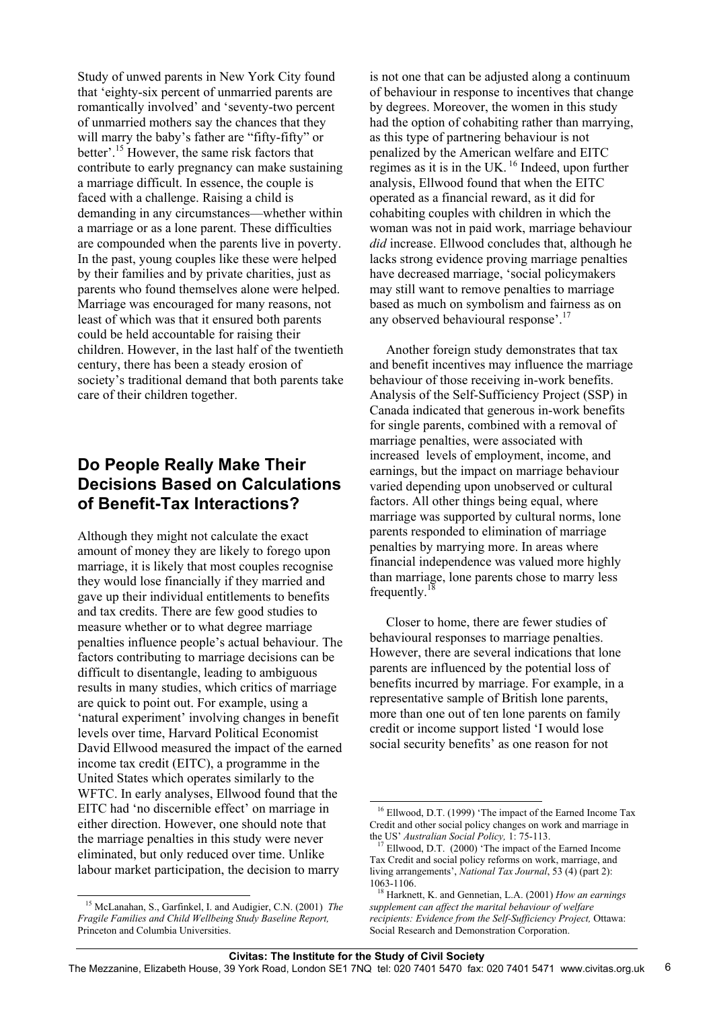Study of unwed parents in New York City found that 'eighty-six percent of unmarried parents are romantically involved' and 'seventy-two percent of unmarried mothers say the chances that they will marry the baby's father are "fifty-fifty" or better'.15 However, the same risk factors that contribute to early pregnancy can make sustaining a marriage difficult. In essence, the couple is faced with a challenge. Raising a child is demanding in any circumstances—whether within a marriage or as a lone parent. These difficulties are compounded when the parents live in poverty. In the past, young couples like these were helped by their families and by private charities, just as parents who found themselves alone were helped. Marriage was encouraged for many reasons, not least of which was that it ensured both parents could be held accountable for raising their children. However, in the last half of the twentieth century, there has been a steady erosion of society's traditional demand that both parents take care of their children together.

### **Do People Really Make Their Decisions Based on Calculations of Benefit-Tax Interactions?**

Although they might not calculate the exact amount of money they are likely to forego upon marriage, it is likely that most couples recognise they would lose financially if they married and gave up their individual entitlements to benefits and tax credits. There are few good studies to measure whether or to what degree marriage penalties influence people's actual behaviour. The factors contributing to marriage decisions can be difficult to disentangle, leading to ambiguous results in many studies, which critics of marriage are quick to point out. For example, using a 'natural experiment' involving changes in benefit levels over time, Harvard Political Economist David Ellwood measured the impact of the earned income tax credit (EITC), a programme in the United States which operates similarly to the WFTC. In early analyses, Ellwood found that the EITC had 'no discernible effect' on marriage in either direction. However, one should note that the marriage penalties in this study were never eliminated, but only reduced over time. Unlike labour market participation, the decision to marry

is not one that can be adjusted along a continuum of behaviour in response to incentives that change by degrees. Moreover, the women in this study had the option of cohabiting rather than marrying, as this type of partnering behaviour is not penalized by the American welfare and EITC regimes as it is in the UK.  $16$  Indeed, upon further analysis, Ellwood found that when the EITC operated as a financial reward, as it did for cohabiting couples with children in which the woman was not in paid work, marriage behaviour *did* increase. Ellwood concludes that, although he lacks strong evidence proving marriage penalties have decreased marriage, 'social policymakers may still want to remove penalties to marriage based as much on symbolism and fairness as on any observed behavioural response'.<sup>17</sup>

 Another foreign study demonstrates that tax and benefit incentives may influence the marriage behaviour of those receiving in-work benefits. Analysis of the Self-Sufficiency Project (SSP) in Canada indicated that generous in-work benefits for single parents, combined with a removal of marriage penalties, were associated with increased levels of employment, income, and earnings, but the impact on marriage behaviour varied depending upon unobserved or cultural factors. All other things being equal, where marriage was supported by cultural norms, lone parents responded to elimination of marriage penalties by marrying more. In areas where financial independence was valued more highly than marriage, lone parents chose to marry less frequently. $<sup>1</sup>$ </sup>

 Closer to home, there are fewer studies of behavioural responses to marriage penalties. However, there are several indications that lone parents are influenced by the potential loss of benefits incurred by marriage. For example, in a representative sample of British lone parents, more than one out of ten lone parents on family credit or income support listed 'I would lose social security benefits' as one reason for not

l

l 15 McLanahan, S., Garfinkel, I. and Audigier, C.N. (2001) *The Fragile Families and Child Wellbeing Study Baseline Report,* Princeton and Columbia Universities.

<sup>&</sup>lt;sup>16</sup> Ellwood, D.T. (1999) 'The impact of the Earned Income Tax Credit and other social policy changes on work and marriage in the US' *Australian Social Policy,* 1: 75-113.

 $17$  Ellwood, D.T. (2000) 'The impact of the Earned Income Tax Credit and social policy reforms on work, marriage, and living arrangements', *National Tax Journal*, 53 (4) (part 2): 1063-1106.

18 Harknett, K. and Gennetian, L.A. (2001) *How an earnings supplement can affect the marital behaviour of welfare recipients: Evidence from the Self-Sufficiency Project,* Ottawa: Social Research and Demonstration Corporation.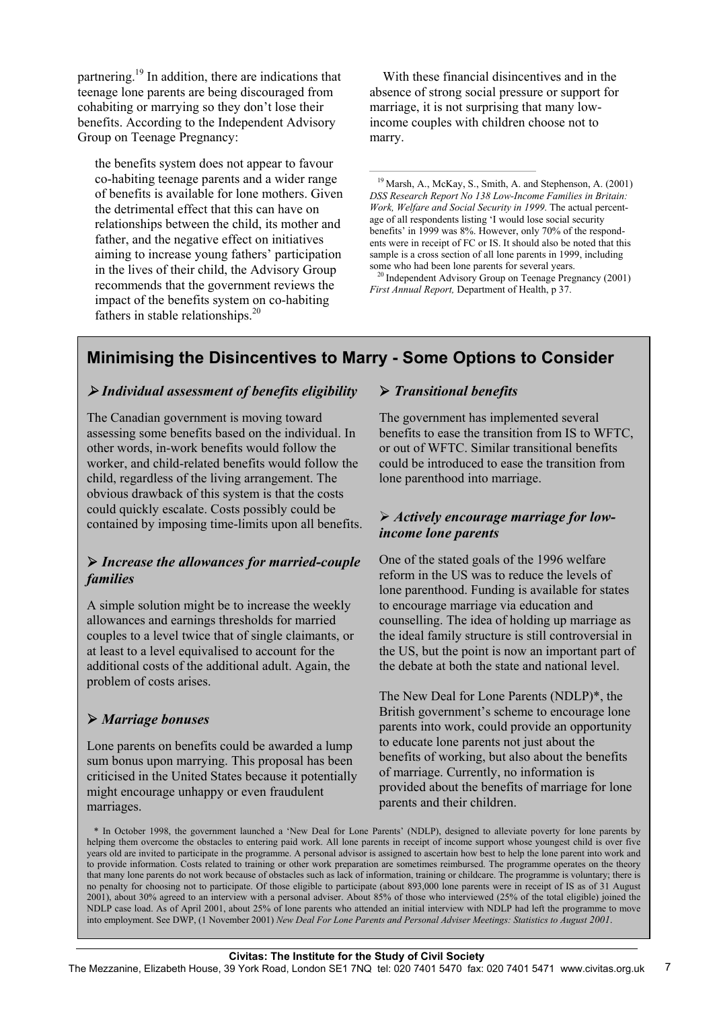partnering.19 In addition, there are indications that teenage lone parents are being discouraged from cohabiting or marrying so they don't lose their benefits. According to the Independent Advisory Group on Teenage Pregnancy:

the benefits system does not appear to favour co-habiting teenage parents and a wider range of benefits is available for lone mothers. Given the detrimental effect that this can have on relationships between the child, its mother and father, and the negative effect on initiatives aiming to increase young fathers' participation in the lives of their child, the Advisory Group recommends that the government reviews the impact of the benefits system on co-habiting fathers in stable relationships.<sup>20</sup>

 With these financial disincentives and in the absence of strong social pressure or support for marriage, it is not surprising that many lowincome couples with children choose not to marry.

<sup>19</sup> Marsh, A., McKay, S., Smith, A. and Stephenson, A. (2001) *DSS Research Report No 138 Low-Income Families in Britain: Work, Welfare and Social Security in 1999*. The actual percentage of all respondents listing 'I would lose social security benefits' in 1999 was 8%. However, only 70% of the respondents were in receipt of FC or IS. It should also be noted that this sample is a cross section of all lone parents in 1999, including some who had been lone parents for several years.

<sup>20</sup> Independent Advisory Group on Teenage Pregnancy (2001) *First Annual Report,* Department of Health, p 37.

## **Minimising the Disincentives to Marry - Some Options to Consider**

### ¾ *Individual assessment of benefits eligibility*

The Canadian government is moving toward assessing some benefits based on the individual. In other words, in-work benefits would follow the worker, and child-related benefits would follow the child, regardless of the living arrangement. The obvious drawback of this system is that the costs could quickly escalate. Costs possibly could be contained by imposing time-limits upon all benefits.

#### ¾ *Increase the allowances for married-couple families*

A simple solution might be to increase the weekly allowances and earnings thresholds for married couples to a level twice that of single claimants, or at least to a level equivalised to account for the additional costs of the additional adult. Again, the problem of costs arises.

### ¾ *Marriage bonuses*

Lone parents on benefits could be awarded a lump sum bonus upon marrying. This proposal has been criticised in the United States because it potentially might encourage unhappy or even fraudulent marriages.

#### ¾ *Transitional benefits*

The government has implemented several benefits to ease the transition from IS to WFTC, or out of WFTC. Similar transitional benefits could be introduced to ease the transition from lone parenthood into marriage.

#### ¾ *Actively encourage marriage for lowincome lone parents*

One of the stated goals of the 1996 welfare reform in the US was to reduce the levels of lone parenthood. Funding is available for states to encourage marriage via education and counselling. The idea of holding up marriage as the ideal family structure is still controversial in the US, but the point is now an important part of the debate at both the state and national level.

The New Deal for Lone Parents (NDLP)\*, the British government's scheme to encourage lone parents into work, could provide an opportunity to educate lone parents not just about the benefits of working, but also about the benefits of marriage. Currently, no information is provided about the benefits of marriage for lone parents and their children.

 \* In October 1998, the government launched a 'New Deal for Lone Parents' (NDLP), designed to alleviate poverty for lone parents by helping them overcome the obstacles to entering paid work. All lone parents in receipt of income support whose youngest child is over five years old are invited to participate in the programme. A personal advisor is assigned to ascertain how best to help the lone parent into work and to provide information. Costs related to training or other work preparation are sometimes reimbursed. The programme operates on the theory that many lone parents do not work because of obstacles such as lack of information, training or childcare. The programme is voluntary; there is no penalty for choosing not to participate. Of those eligible to participate (about 893,000 lone parents were in receipt of IS as of 31 August 2001), about 30% agreed to an interview with a personal adviser. About 85% of those who interviewed (25% of the total eligible) joined the NDLP case load. As of April 2001, about 25% of lone parents who attended an initial interview with NDLP had left the programme to move into employment. See DWP, (1 November 2001) *New Deal For Lone Parents and Personal Adviser Meetings: Statistics to August 2001*.